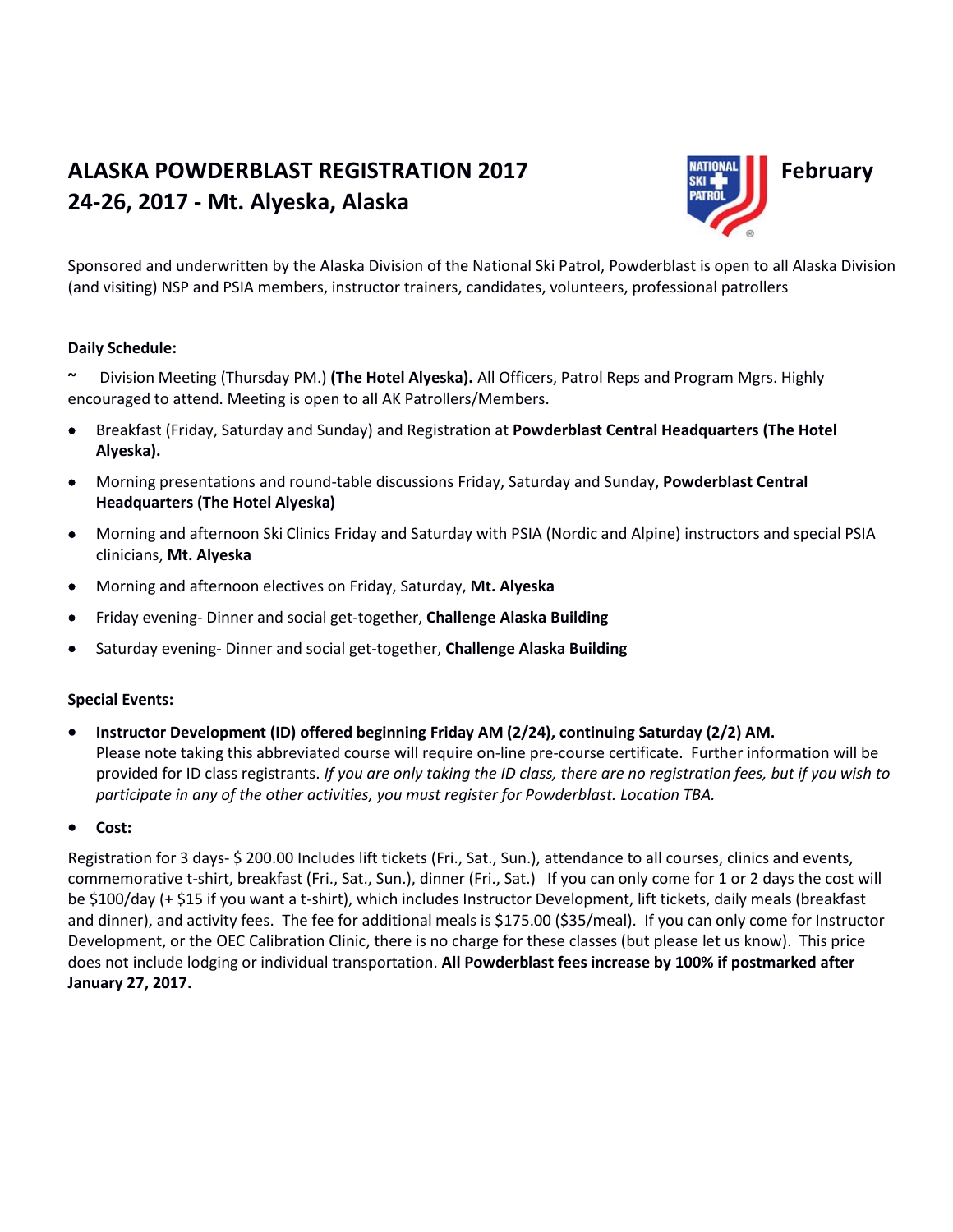# **ALASKA POWDERBLAST REGISTRATION 2017 Example 1 February 24-26, 2017 - Mt. Alyeska, Alaska**



Sponsored and underwritten by the Alaska Division of the National Ski Patrol, Powderblast is open to all Alaska Division (and visiting) NSP and PSIA members, instructor trainers, candidates, volunteers, professional patrollers

#### **Daily Schedule:**

**~** Division Meeting (Thursday PM.) **(The Hotel Alyeska).** All Officers, Patrol Reps and Program Mgrs. Highly encouraged to attend. Meeting is open to all AK Patrollers/Members.

- Breakfast (Friday, Saturday and Sunday) and Registration at **Powderblast Central Headquarters (The Hotel Alyeska).**
- Morning presentations and round-table discussions Friday, Saturday and Sunday, **Powderblast Central Headquarters (The Hotel Alyeska)**
- Morning and afternoon Ski Clinics Friday and Saturday with PSIA (Nordic and Alpine) instructors and special PSIA clinicians, **Mt. Alyeska**
- Morning and afternoon electives on Friday, Saturday, **Mt. Alyeska**
- Friday evening- Dinner and social get-together, **Challenge Alaska Building**
- Saturday evening- Dinner and social get-together, **Challenge Alaska Building**

#### **Special Events:**

- **Instructor Development (ID) offered beginning Friday AM (2/24), continuing Saturday (2/2) AM.** Please note taking this abbreviated course will require on-line pre-course certificate. Further information will be provided for ID class registrants. *If you are only taking the ID class, there are no registration fees, but if you wish to participate in any of the other activities, you must register for Powderblast. Location TBA.*
- **Cost:**

Registration for 3 days- \$ 200.00 Includes lift tickets (Fri., Sat., Sun.), attendance to all courses, clinics and events, commemorative t-shirt, breakfast (Fri., Sat., Sun.), dinner (Fri., Sat.) If you can only come for 1 or 2 days the cost will be \$100/day (+ \$15 if you want a t-shirt), which includes Instructor Development, lift tickets, daily meals (breakfast and dinner), and activity fees. The fee for additional meals is \$175.00 (\$35/meal). If you can only come for Instructor Development, or the OEC Calibration Clinic, there is no charge for these classes (but please let us know). This price does not include lodging or individual transportation. **All Powderblast fees increase by 100% if postmarked after January 27, 2017.**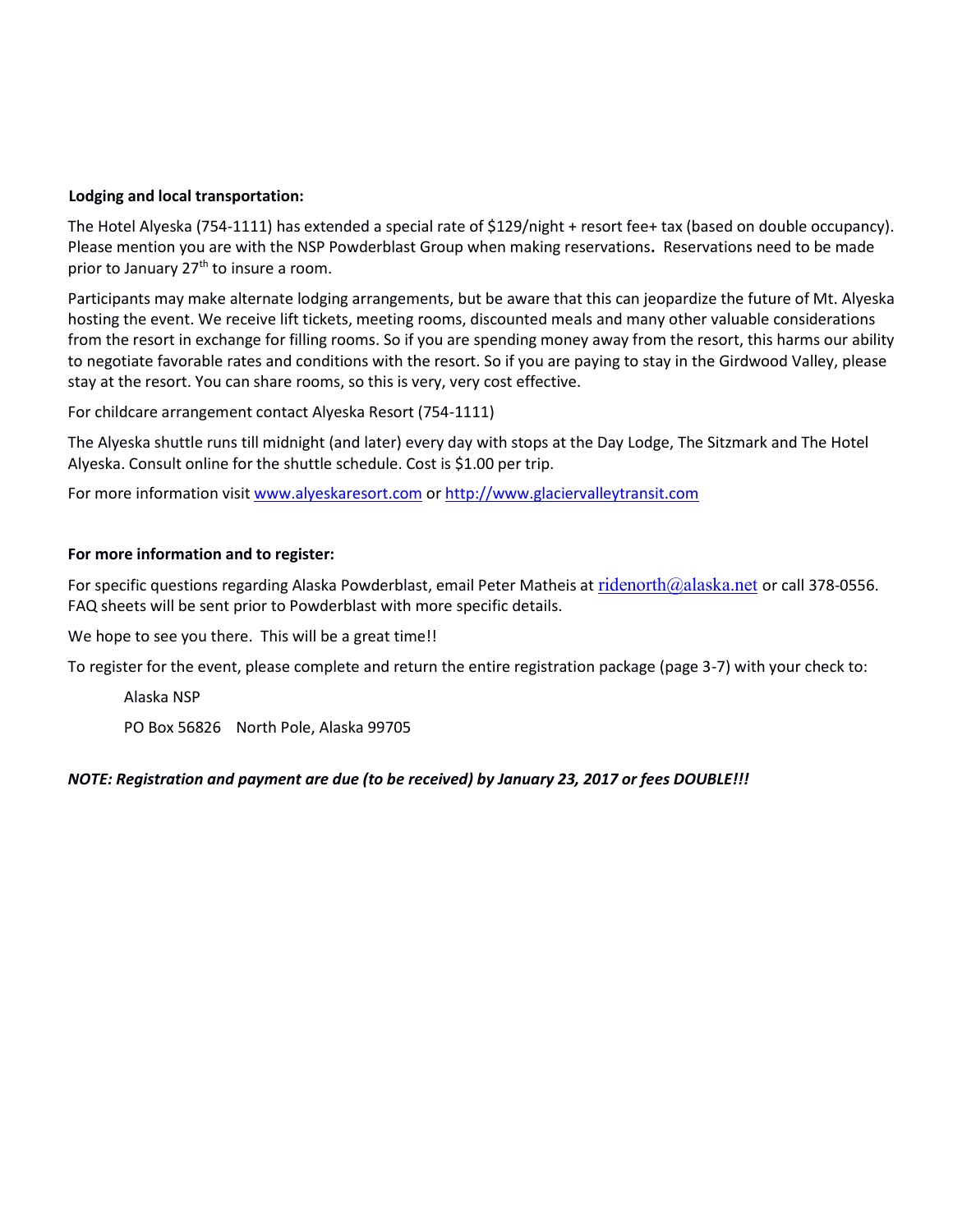#### **Lodging and local transportation:**

The Hotel Alyeska (754-1111) has extended a special rate of \$129/night + resort fee+ tax (based on double occupancy). Please mention you are with the NSP Powderblast Group when making reservations**.** Reservations need to be made prior to January 27<sup>th</sup> to insure a room.

Participants may make alternate lodging arrangements, but be aware that this can jeopardize the future of Mt. Alyeska hosting the event. We receive lift tickets, meeting rooms, discounted meals and many other valuable considerations from the resort in exchange for filling rooms. So if you are spending money away from the resort, this harms our ability to negotiate favorable rates and conditions with the resort. So if you are paying to stay in the Girdwood Valley, please stay at the resort. You can share rooms, so this is very, very cost effective.

For childcare arrangement contact Alyeska Resort (754-1111)

The Alyeska shuttle runs till midnight (and later) every day with stops at the Day Lodge, The Sitzmark and The Hotel Alyeska. Consult online for the shuttle schedule. Cost is \$1.00 per trip.

For more information visit [www.alyeskaresort.com](http://www.alyeskaresort.com/) or [http://www.glaciervalleytransit.com](http://www.glaciervalleytransit.com/)

#### **For more information and to register:**

For specific questions regarding Alaska Powderblast, email Peter Matheis at [ridenorth@alaska.net](mailto:ridenorth@alaska.net) or call 378-0556. FAQ sheets will be sent prior to Powderblast with more specific details.

We hope to see you there. This will be a great time!!

To register for the event, please complete and return the entire registration package (page 3-7) with your check to:

Alaska NSP

PO Box 56826 North Pole, Alaska 99705

#### *NOTE: Registration and payment are due (to be received) by January 23, 2017 or fees DOUBLE!!!*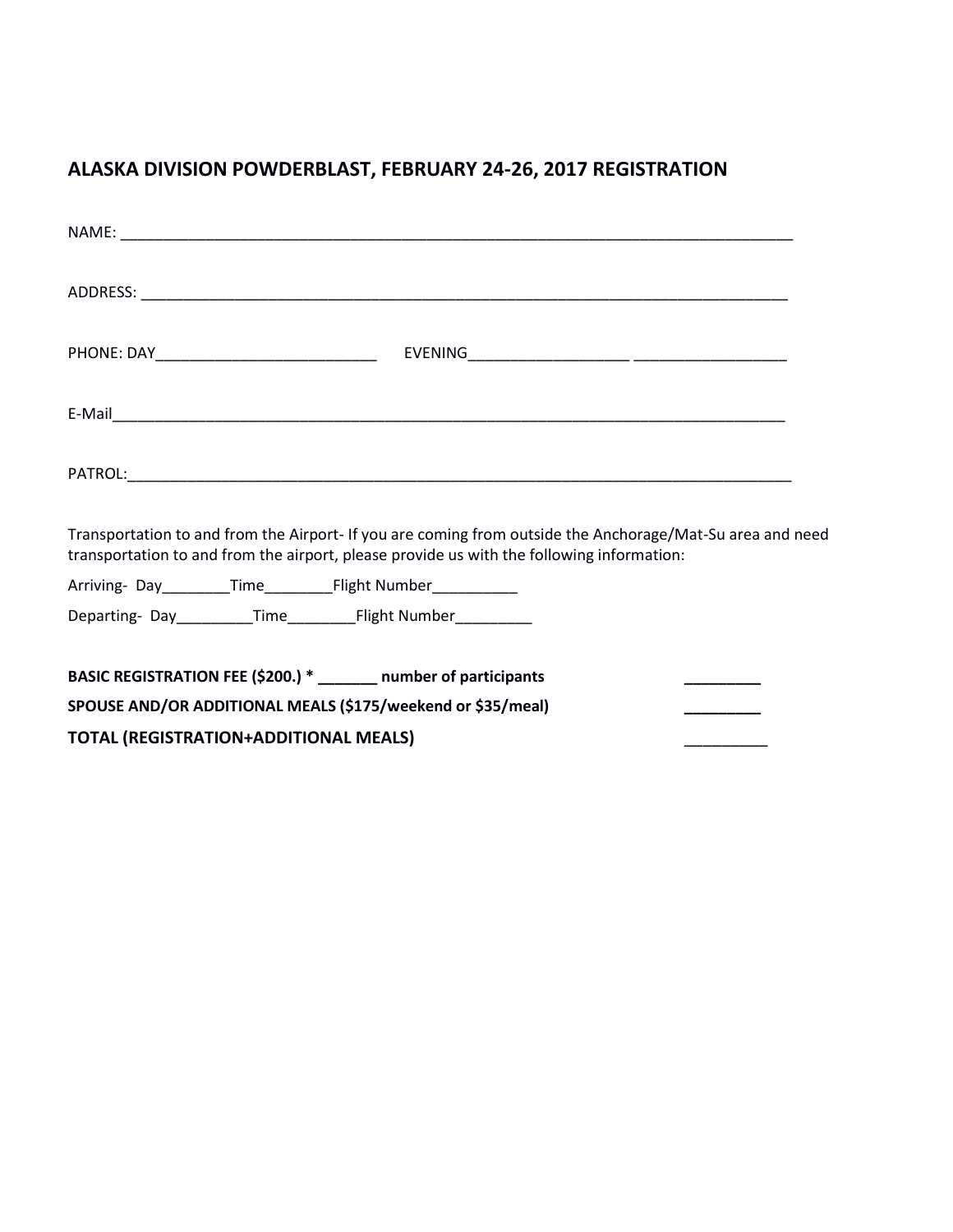## **ALASKA DIVISION POWDERBLAST, FEBRUARY 24-26, 2017 REGISTRATION**

| Transportation to and from the Airport- If you are coming from outside the Anchorage/Mat-Su area and need<br>transportation to and from the airport, please provide us with the following information: |  |  |
|--------------------------------------------------------------------------------------------------------------------------------------------------------------------------------------------------------|--|--|
| Arriving-Day________Time____________Flight Number____________                                                                                                                                          |  |  |
| BASIC REGISTRATION FEE (\$200.) * ______ number of participants<br>SPOUSE AND/OR ADDITIONAL MEALS (\$175/weekend or \$35/meal)                                                                         |  |  |
| <b>TOTAL (REGISTRATION+ADDITIONAL MEALS)</b>                                                                                                                                                           |  |  |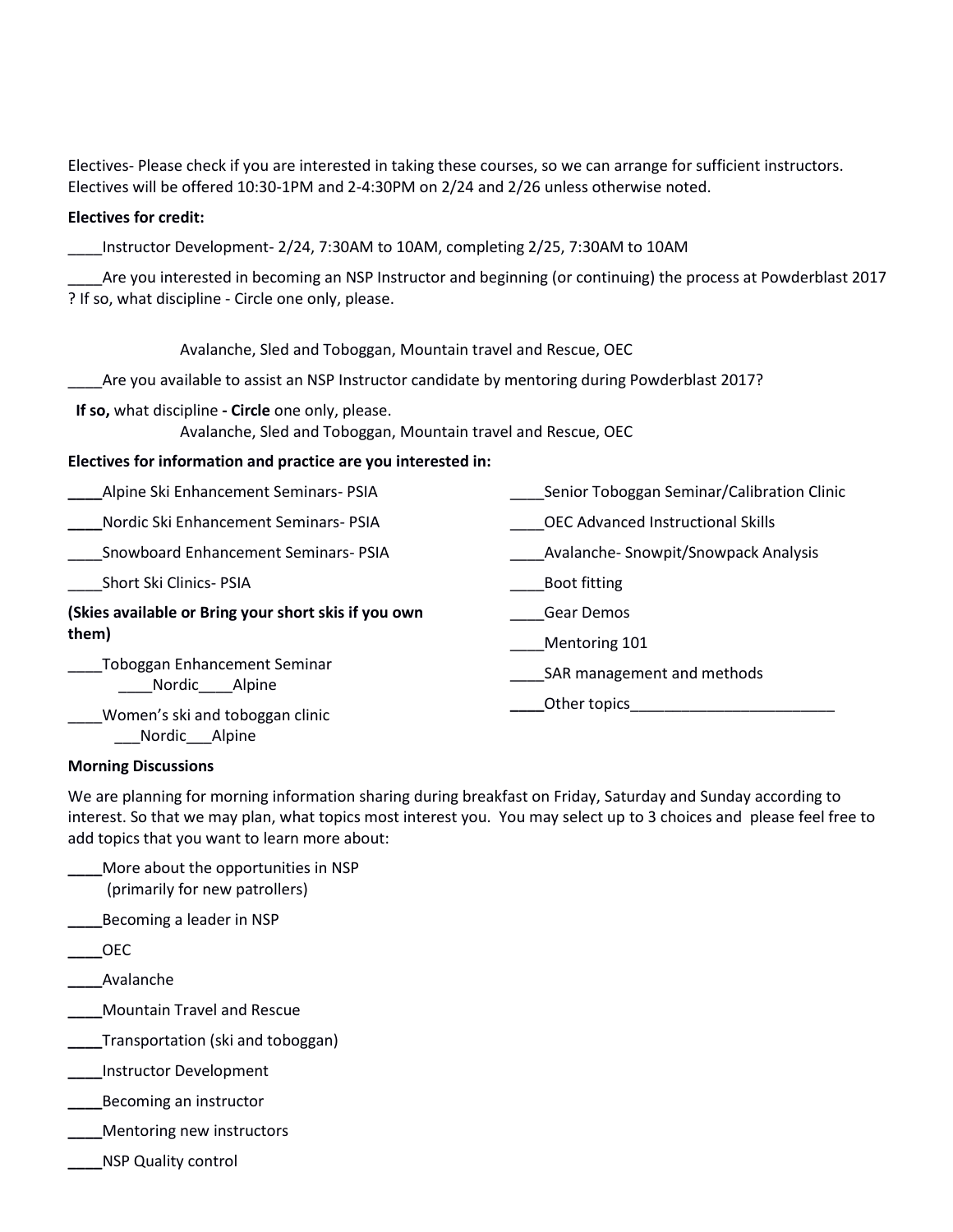Electives- Please check if you are interested in taking these courses, so we can arrange for sufficient instructors. Electives will be offered 10:30-1PM and 2-4:30PM on 2/24 and 2/26 unless otherwise noted.

#### **Electives for credit:**

\_\_\_\_Instructor Development- 2/24, 7:30AM to 10AM, completing 2/25, 7:30AM to 10AM

\_\_\_\_Are you interested in becoming an NSP Instructor and beginning (or continuing) the process at Powderblast 2017 ? If so, what discipline - Circle one only, please.

Avalanche, Sled and Toboggan, Mountain travel and Rescue, OEC

\_\_\_\_Are you available to assist an NSP Instructor candidate by mentoring during Powderblast 2017?

**If so,** what discipline **- Circle** one only, please.

Avalanche, Sled and Toboggan, Mountain travel and Rescue, OEC

#### **Electives for information and practice are you interested in:**

| Alpine Ski Enhancement Seminars- PSIA                   | Senior Toboggan Seminar/Calibration Clinic |
|---------------------------------------------------------|--------------------------------------------|
| Nordic Ski Enhancement Seminars- PSIA                   | <b>OEC Advanced Instructional Skills</b>   |
| Snowboard Enhancement Seminars-PSIA                     | Avalanche-Snowpit/Snowpack Analysis        |
| Short Ski Clinics- PSIA                                 | <b>Boot fitting</b>                        |
| (Skies available or Bring your short skis if you own    | Gear Demos                                 |
| them)                                                   | Mentoring 101                              |
| <b>Toboggan Enhancement Seminar</b><br>Nordic<br>Alpine | SAR management and methods                 |
| Women's ski and toboggan clinic                         | Other topics                               |

#### **Morning Discussions**

\_\_\_Nordic\_\_\_Alpine

We are planning for morning information sharing during breakfast on Friday, Saturday and Sunday according to interest. So that we may plan, what topics most interest you. You may select up to 3 choices and please feel free to add topics that you want to learn more about:

| More about the opportunities in NSP<br>(primarily for new patrollers) |
|-----------------------------------------------------------------------|
| Becoming a leader in NSP                                              |
| OEC                                                                   |
| Avalanche                                                             |
| <b>Mountain Travel and Rescue</b>                                     |
| Transportation (ski and toboggan)                                     |
| Instructor Development                                                |
| Becoming an instructor                                                |

- **\_\_\_\_**Mentoring new instructors
- **\_\_\_\_**NSP Quality control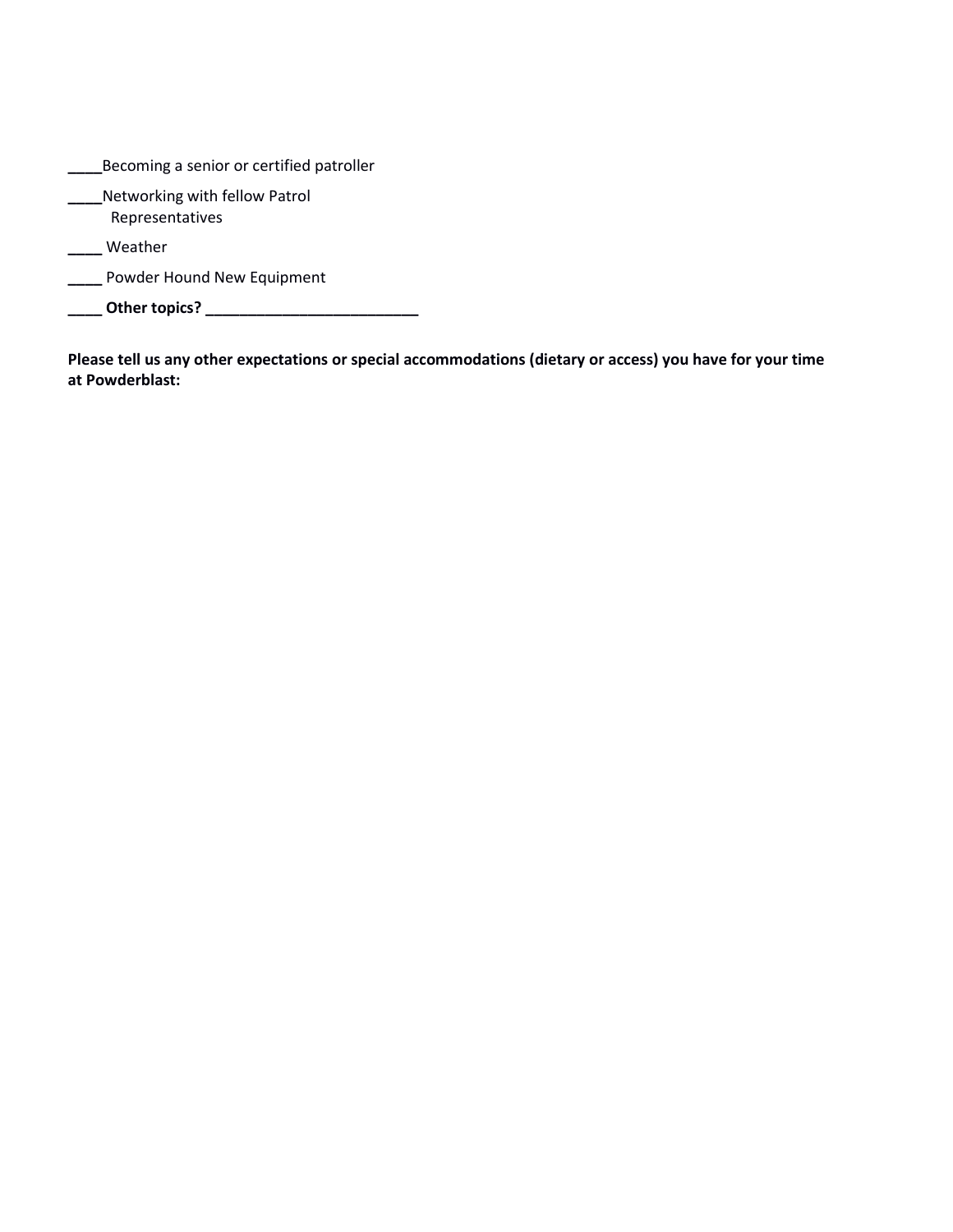| Becoming a senior or certified patroller         |
|--------------------------------------------------|
| Networking with fellow Patrol<br>Representatives |
| Weather                                          |
| Powder Hound New Equipment                       |
| Other topics?                                    |

**Please tell us any other expectations or special accommodations (dietary or access) you have for your time at Powderblast:**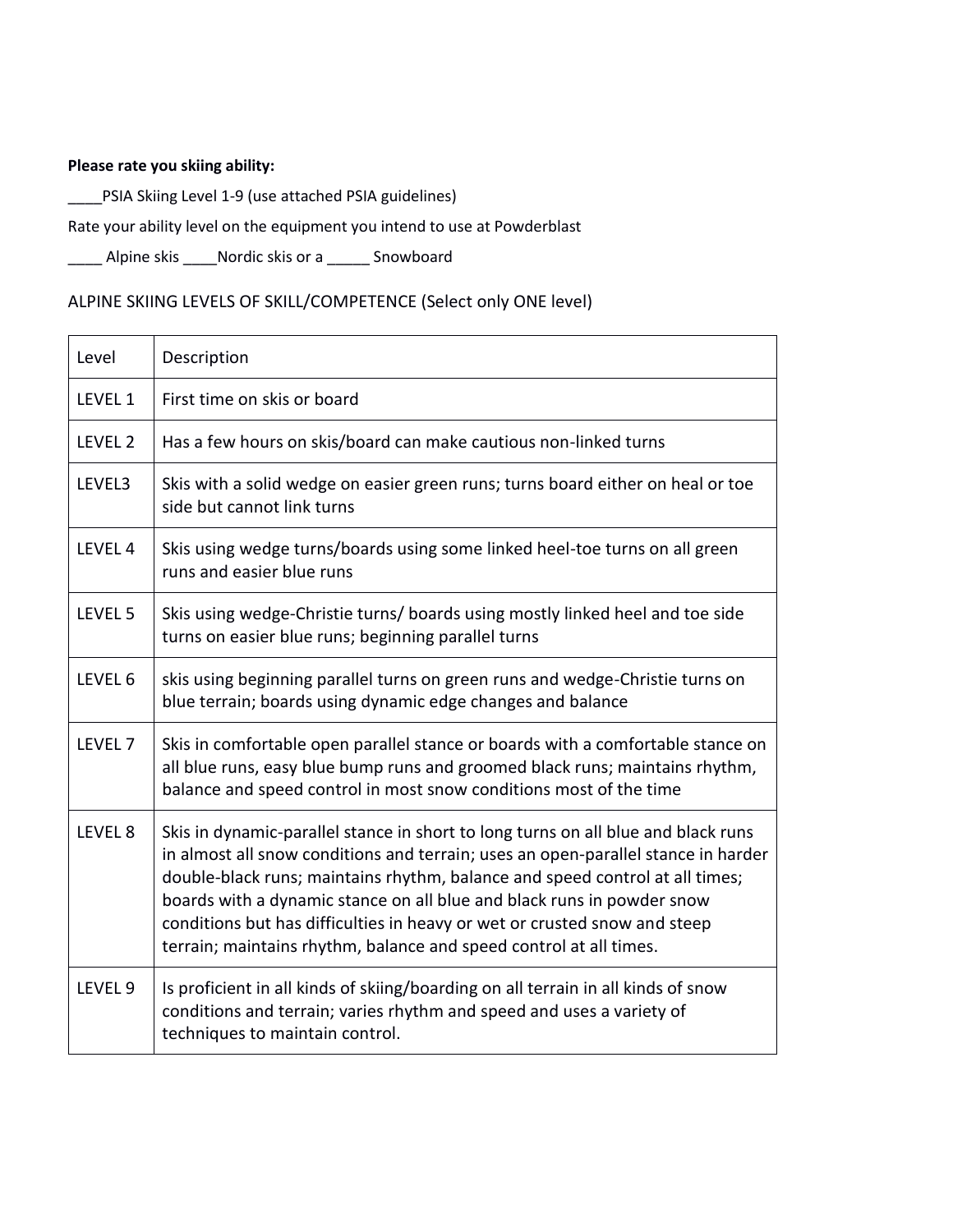### **Please rate you skiing ability:**

\_\_\_\_PSIA Skiing Level 1-9 (use attached PSIA guidelines)

#### Rate your ability level on the equipment you intend to use at Powderblast

\_\_\_\_ Alpine skis \_\_\_\_Nordic skis or a \_\_\_\_\_ Snowboard

## ALPINE SKIING LEVELS OF SKILL/COMPETENCE (Select only ONE level)

| Level              | Description                                                                                                                                                                                                                                                                                                                                                                                                                                                                         |  |
|--------------------|-------------------------------------------------------------------------------------------------------------------------------------------------------------------------------------------------------------------------------------------------------------------------------------------------------------------------------------------------------------------------------------------------------------------------------------------------------------------------------------|--|
| LEVEL 1            | First time on skis or board                                                                                                                                                                                                                                                                                                                                                                                                                                                         |  |
| LEVEL 2            | Has a few hours on skis/board can make cautious non-linked turns                                                                                                                                                                                                                                                                                                                                                                                                                    |  |
| LEVEL3             | Skis with a solid wedge on easier green runs; turns board either on heal or toe<br>side but cannot link turns                                                                                                                                                                                                                                                                                                                                                                       |  |
| LEVEL 4            | Skis using wedge turns/boards using some linked heel-toe turns on all green<br>runs and easier blue runs                                                                                                                                                                                                                                                                                                                                                                            |  |
| LEVEL 5            | Skis using wedge-Christie turns/ boards using mostly linked heel and toe side<br>turns on easier blue runs; beginning parallel turns                                                                                                                                                                                                                                                                                                                                                |  |
| LEVEL 6            | skis using beginning parallel turns on green runs and wedge-Christie turns on<br>blue terrain; boards using dynamic edge changes and balance                                                                                                                                                                                                                                                                                                                                        |  |
| LEVEL <sub>7</sub> | Skis in comfortable open parallel stance or boards with a comfortable stance on<br>all blue runs, easy blue bump runs and groomed black runs; maintains rhythm,<br>balance and speed control in most snow conditions most of the time                                                                                                                                                                                                                                               |  |
| LEVEL 8            | Skis in dynamic-parallel stance in short to long turns on all blue and black runs<br>in almost all snow conditions and terrain; uses an open-parallel stance in harder<br>double-black runs; maintains rhythm, balance and speed control at all times;<br>boards with a dynamic stance on all blue and black runs in powder snow<br>conditions but has difficulties in heavy or wet or crusted snow and steep<br>terrain; maintains rhythm, balance and speed control at all times. |  |
| LEVEL 9            | Is proficient in all kinds of skiing/boarding on all terrain in all kinds of snow<br>conditions and terrain; varies rhythm and speed and uses a variety of<br>techniques to maintain control.                                                                                                                                                                                                                                                                                       |  |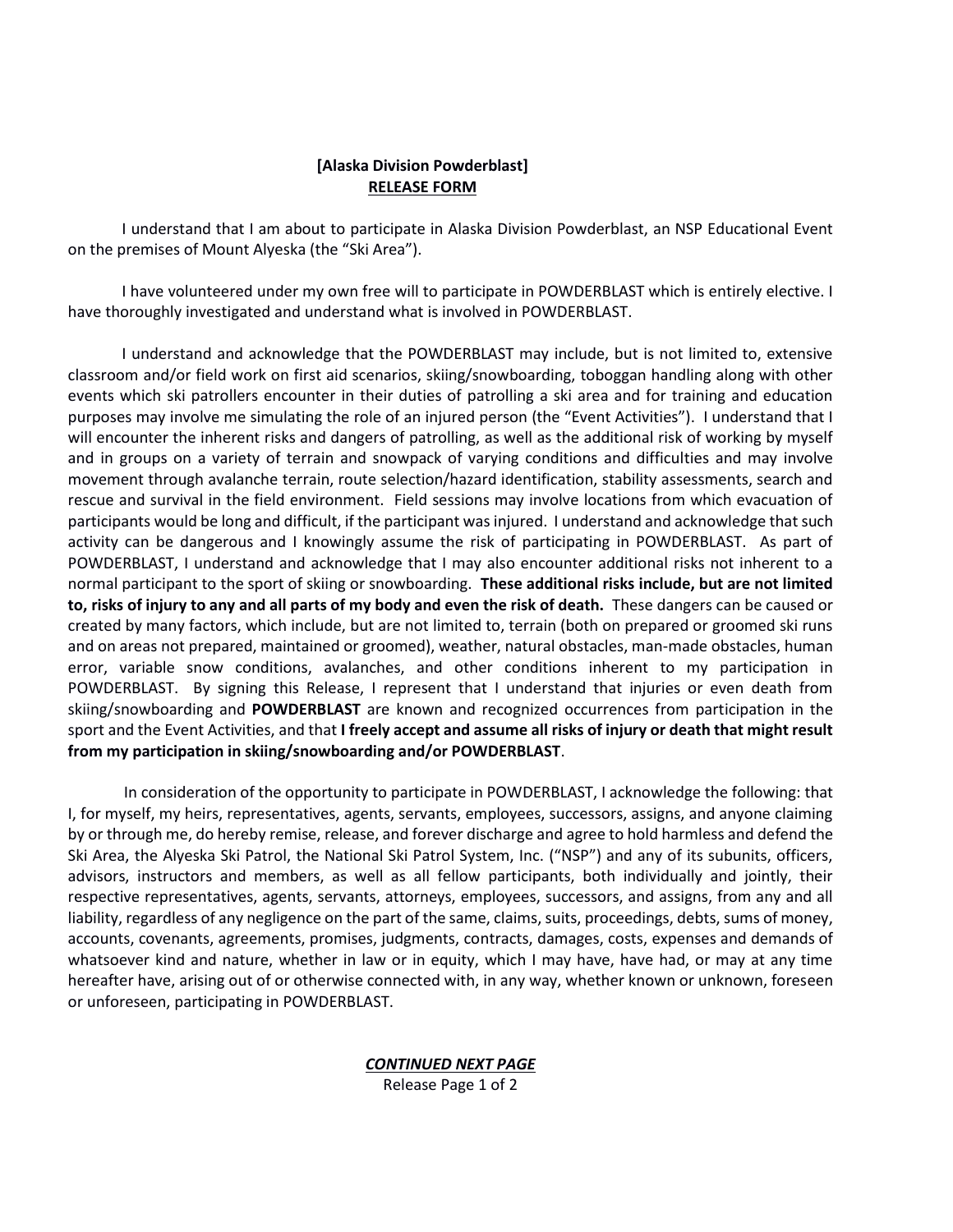#### **[Alaska Division Powderblast] RELEASE FORM**

I understand that I am about to participate in Alaska Division Powderblast, an NSP Educational Event on the premises of Mount Alyeska (the "Ski Area").

I have volunteered under my own free will to participate in POWDERBLAST which is entirely elective. I have thoroughly investigated and understand what is involved in POWDERBLAST.

I understand and acknowledge that the POWDERBLAST may include, but is not limited to, extensive classroom and/or field work on first aid scenarios, skiing/snowboarding, toboggan handling along with other events which ski patrollers encounter in their duties of patrolling a ski area and for training and education purposes may involve me simulating the role of an injured person (the "Event Activities"). I understand that I will encounter the inherent risks and dangers of patrolling, as well as the additional risk of working by myself and in groups on a variety of terrain and snowpack of varying conditions and difficulties and may involve movement through avalanche terrain, route selection/hazard identification, stability assessments, search and rescue and survival in the field environment. Field sessions may involve locations from which evacuation of participants would be long and difficult, if the participant was injured. I understand and acknowledge that such activity can be dangerous and I knowingly assume the risk of participating in POWDERBLAST. As part of POWDERBLAST, I understand and acknowledge that I may also encounter additional risks not inherent to a normal participant to the sport of skiing or snowboarding. **These additional risks include, but are not limited to, risks of injury to any and all parts of my body and even the risk of death.** These dangers can be caused or created by many factors, which include, but are not limited to, terrain (both on prepared or groomed ski runs and on areas not prepared, maintained or groomed), weather, natural obstacles, man-made obstacles, human error, variable snow conditions, avalanches, and other conditions inherent to my participation in POWDERBLAST. By signing this Release, I represent that I understand that injuries or even death from skiing/snowboarding and **POWDERBLAST** are known and recognized occurrences from participation in the sport and the Event Activities, and that **I freely accept and assume all risks of injury or death that might result from my participation in skiing/snowboarding and/or POWDERBLAST**.

In consideration of the opportunity to participate in POWDERBLAST, I acknowledge the following: that I, for myself, my heirs, representatives, agents, servants, employees, successors, assigns, and anyone claiming by or through me, do hereby remise, release, and forever discharge and agree to hold harmless and defend the Ski Area, the Alyeska Ski Patrol, the National Ski Patrol System, Inc. ("NSP") and any of its subunits, officers, advisors, instructors and members, as well as all fellow participants, both individually and jointly, their respective representatives, agents, servants, attorneys, employees, successors, and assigns, from any and all liability, regardless of any negligence on the part of the same, claims, suits, proceedings, debts, sums of money, accounts, covenants, agreements, promises, judgments, contracts, damages, costs, expenses and demands of whatsoever kind and nature, whether in law or in equity, which I may have, have had, or may at any time hereafter have, arising out of or otherwise connected with, in any way, whether known or unknown, foreseen or unforeseen, participating in POWDERBLAST.

*CONTINUED NEXT PAGE*

Release Page 1 of 2